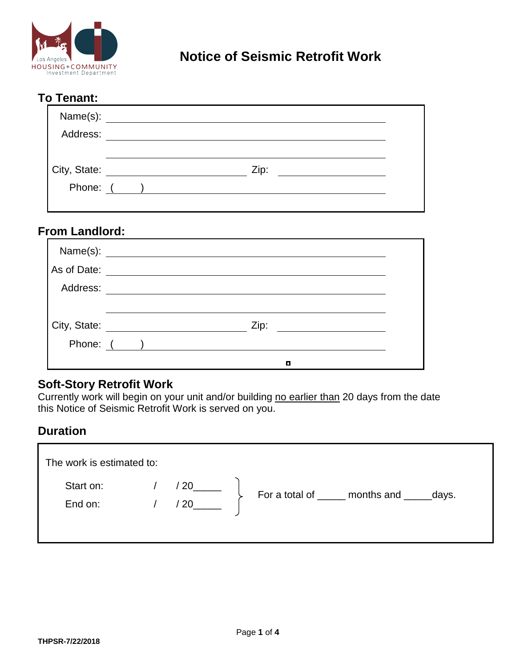

## **To Tenant:**

| Name(s):     |      |  |
|--------------|------|--|
| Address:     |      |  |
|              |      |  |
| City, State: | Zip: |  |
| Phone: (     |      |  |
|              |      |  |

### **From Landlord:**

| Name(s):     |            |  |
|--------------|------------|--|
| As of Date:  |            |  |
| Address:     |            |  |
|              |            |  |
| City, State: | Zip:       |  |
|              | Phone: ( ) |  |
|              | о          |  |

#### **Soft-Story Retrofit Work**

Currently work will begin on your unit and/or building no earlier than 20 days from the date this Notice of Seismic Retrofit Work is served on you.

### **Duration**

| The work is estimated to: |            |                                             |
|---------------------------|------------|---------------------------------------------|
| Start on:<br>End on:      | /20<br>/20 | For a total of _____ months and ______days. |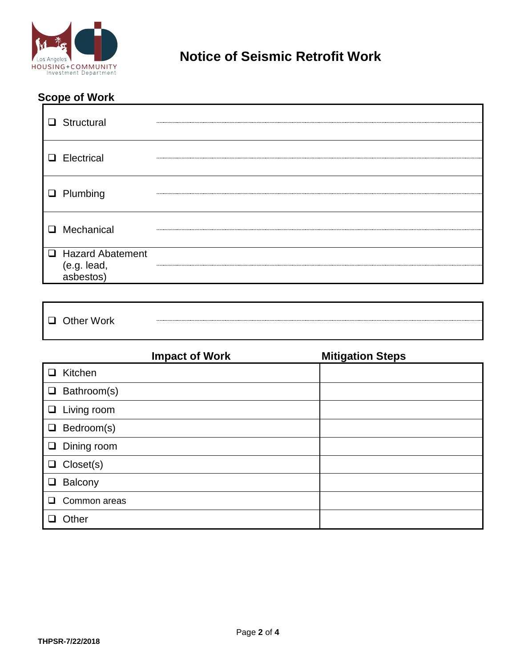

**Notice of Seismic Retrofit Work**

# **Scope of Work**

| $\Box$ Structural                              |  |
|------------------------------------------------|--|
| $\Box$ Electrical                              |  |
| $\Box$ Plumbing                                |  |
| <b>Q</b> Mechanical                            |  |
| □ Hazard Abatement<br>(e.g. lead,<br>asbestos) |  |

□ Other Work

|        | <b>Impact of Work</b> | <b>Mitigation Steps</b> |
|--------|-----------------------|-------------------------|
| ❏      | Kitchen               |                         |
| $\Box$ | Bathroom(s)           |                         |
|        | $\Box$ Living room    |                         |
|        | $\Box$ Bedroom(s)     |                         |
|        | $\Box$ Dining room    |                         |
|        | $\Box$ Closet(s)      |                         |
| $\Box$ | Balcony               |                         |
| ◻      | Common areas          |                         |
|        | Other                 |                         |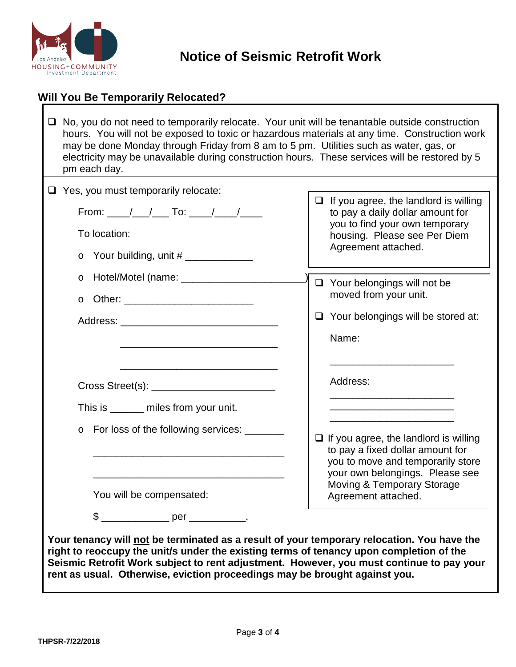

#### **Will You Be Temporarily Relocated?**

 $\Box$  No, you do not need to temporarily relocate. Your unit will be tenantable outside construction hours. You will not be exposed to toxic or hazardous materials at any time. Construction work may be done Monday through Friday from 8 am to 5 pm. Utilities such as water, gas, or electricity may be unavailable during construction hours. These services will be restored by 5 pm each day.

| $\Box$ Yes, you must temporarily relocate:                                                                                                                             |                                                                                  |
|------------------------------------------------------------------------------------------------------------------------------------------------------------------------|----------------------------------------------------------------------------------|
| From: ___/__/___ To: ____/___/_____                                                                                                                                    | $\Box$ If you agree, the landlord is willing<br>to pay a daily dollar amount for |
| To location:                                                                                                                                                           | you to find your own temporary<br>housing. Please see Per Diem                   |
| $\circ$                                                                                                                                                                | Agreement attached.                                                              |
| Hotel/Motel (name: __________________<br>$\circ$                                                                                                                       | $\Box$ Your belongings will not be                                               |
| $\circ$                                                                                                                                                                | moved from your unit.                                                            |
|                                                                                                                                                                        | $\Box$ Your belongings will be stored at:                                        |
|                                                                                                                                                                        | Name:                                                                            |
|                                                                                                                                                                        |                                                                                  |
| the control of the control of the control of the control of the control of the control of                                                                              | Address:                                                                         |
|                                                                                                                                                                        |                                                                                  |
| This is ______ miles from your unit.                                                                                                                                   |                                                                                  |
| For loss of the following services: _______<br>$\circ$                                                                                                                 |                                                                                  |
|                                                                                                                                                                        | $\Box$ If you agree, the landlord is willing<br>to pay a fixed dollar amount for |
|                                                                                                                                                                        | you to move and temporarily store                                                |
|                                                                                                                                                                        | your own belongings. Please see                                                  |
| You will be compensated:                                                                                                                                               | Moving & Temporary Storage<br>Agreement attached.                                |
|                                                                                                                                                                        |                                                                                  |
|                                                                                                                                                                        |                                                                                  |
| Your tenancy will not be terminated as a result of your temporary relocation. You have the                                                                             |                                                                                  |
| right to reoccupy the unit/s under the existing terms of tenancy upon completion of the                                                                                |                                                                                  |
| Seismic Retrofit Work subject to rent adjustment. However, you must continue to pay your<br>rent as usual. Otherwise, eviction proceedings may be brought against you. |                                                                                  |
|                                                                                                                                                                        |                                                                                  |